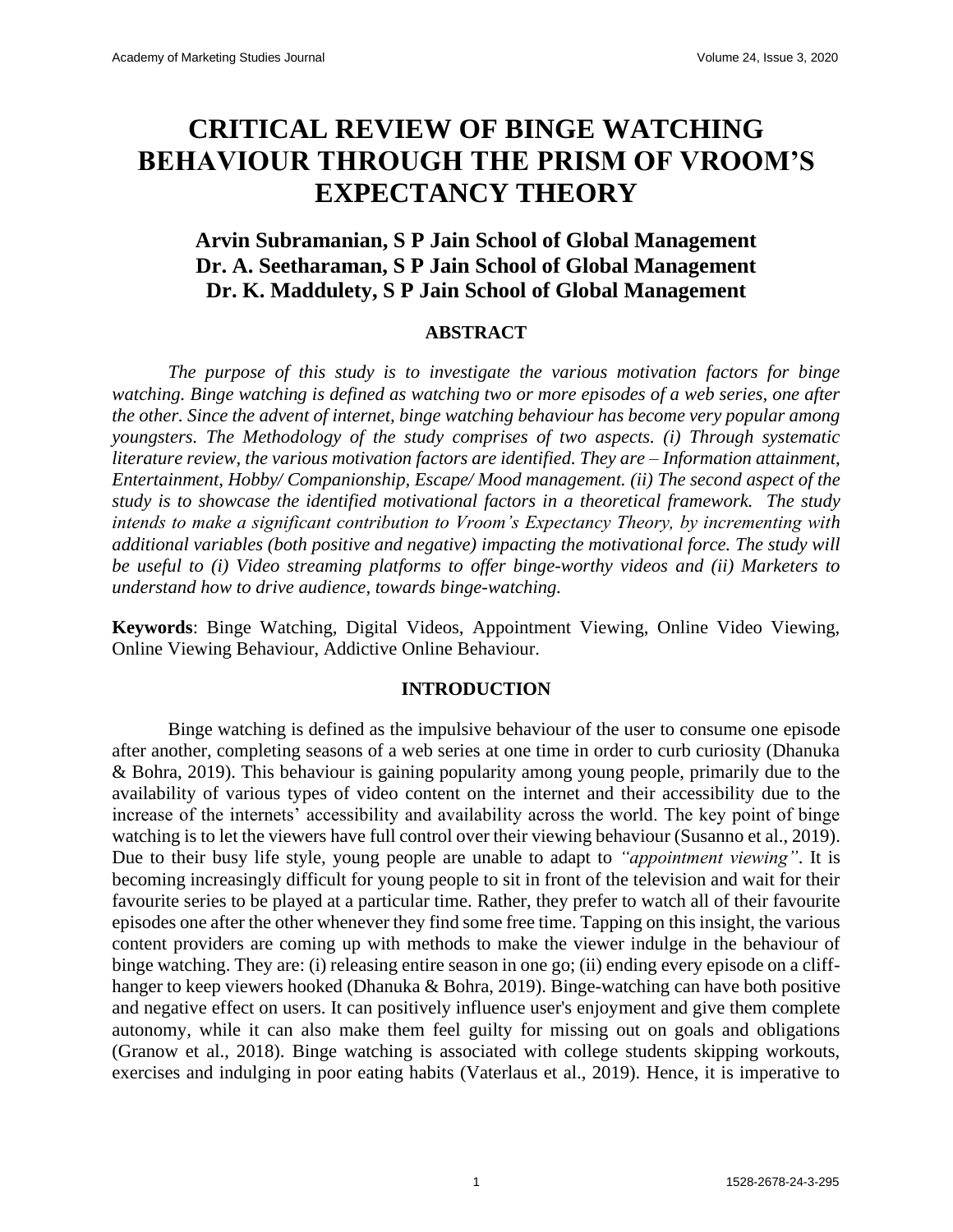# **CRITICAL REVIEW OF BINGE WATCHING BEHAVIOUR THROUGH THE PRISM OF VROOM'S EXPECTANCY THEORY**

# **Arvin Subramanian, S P Jain School of Global Management Dr. A. Seetharaman, S P Jain School of Global Management Dr. K. Maddulety, S P Jain School of Global Management**

## **ABSTRACT**

*The purpose of this study is to investigate the various motivation factors for binge watching. Binge watching is defined as watching two or more episodes of a web series, one after the other. Since the advent of internet, binge watching behaviour has become very popular among youngsters. The Methodology of the study comprises of two aspects. (i) Through systematic literature review, the various motivation factors are identified. They are – Information attainment, Entertainment, Hobby/ Companionship, Escape/ Mood management. (ii) The second aspect of the study is to showcase the identified motivational factors in a theoretical framework. The study intends to make a significant contribution to Vroom's Expectancy Theory, by incrementing with additional variables (both positive and negative) impacting the motivational force. The study will be useful to (i) Video streaming platforms to offer binge-worthy videos and (ii) Marketers to understand how to drive audience, towards binge-watching.*

**Keywords**: Binge Watching, Digital Videos, Appointment Viewing, Online Video Viewing, Online Viewing Behaviour, Addictive Online Behaviour.

## **INTRODUCTION**

Binge watching is defined as the impulsive behaviour of the user to consume one episode after another, completing seasons of a web series at one time in order to curb curiosity (Dhanuka & Bohra, 2019). This behaviour is gaining popularity among young people, primarily due to the availability of various types of video content on the internet and their accessibility due to the increase of the internets' accessibility and availability across the world. The key point of binge watching is to let the viewers have full control over their viewing behaviour (Susanno et al., 2019). Due to their busy life style, young people are unable to adapt to *"appointment viewing"*. It is becoming increasingly difficult for young people to sit in front of the television and wait for their favourite series to be played at a particular time. Rather, they prefer to watch all of their favourite episodes one after the other whenever they find some free time. Tapping on this insight, the various content providers are coming up with methods to make the viewer indulge in the behaviour of binge watching. They are: (i) releasing entire season in one go; (ii) ending every episode on a cliffhanger to keep viewers hooked (Dhanuka & Bohra, 2019). Binge-watching can have both positive and negative effect on users. It can positively influence user's enjoyment and give them complete autonomy, while it can also make them feel guilty for missing out on goals and obligations (Granow et al., 2018). Binge watching is associated with college students skipping workouts, exercises and indulging in poor eating habits (Vaterlaus et al., 2019). Hence, it is imperative to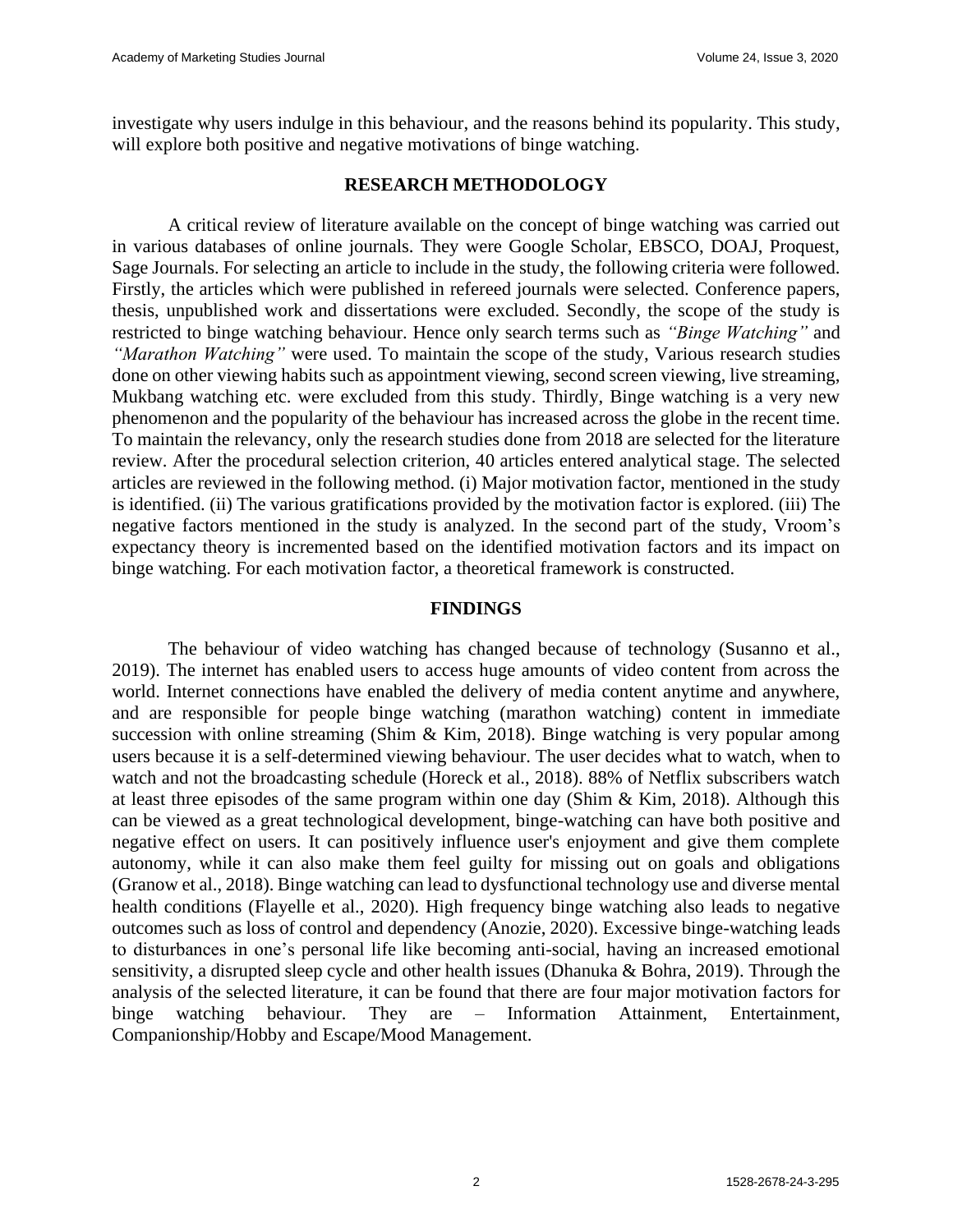investigate why users indulge in this behaviour, and the reasons behind its popularity. This study, will explore both positive and negative motivations of binge watching.

## **RESEARCH METHODOLOGY**

A critical review of literature available on the concept of binge watching was carried out in various databases of online journals. They were Google Scholar, EBSCO, DOAJ, Proquest, Sage Journals. For selecting an article to include in the study, the following criteria were followed. Firstly, the articles which were published in refereed journals were selected. Conference papers, thesis, unpublished work and dissertations were excluded. Secondly, the scope of the study is restricted to binge watching behaviour. Hence only search terms such as *"Binge Watching"* and *"Marathon Watching"* were used. To maintain the scope of the study, Various research studies done on other viewing habits such as appointment viewing, second screen viewing, live streaming, Mukbang watching etc. were excluded from this study. Thirdly, Binge watching is a very new phenomenon and the popularity of the behaviour has increased across the globe in the recent time. To maintain the relevancy, only the research studies done from 2018 are selected for the literature review. After the procedural selection criterion, 40 articles entered analytical stage. The selected articles are reviewed in the following method. (i) Major motivation factor, mentioned in the study is identified. (ii) The various gratifications provided by the motivation factor is explored. (iii) The negative factors mentioned in the study is analyzed. In the second part of the study, Vroom's expectancy theory is incremented based on the identified motivation factors and its impact on binge watching. For each motivation factor, a theoretical framework is constructed.

## **FINDINGS**

The behaviour of video watching has changed because of technology (Susanno et al., 2019). The internet has enabled users to access huge amounts of video content from across the world. Internet connections have enabled the delivery of media content anytime and anywhere, and are responsible for people binge watching (marathon watching) content in immediate succession with online streaming (Shim & Kim, 2018). Binge watching is very popular among users because it is a self-determined viewing behaviour. The user decides what to watch, when to watch and not the broadcasting schedule (Horeck et al., 2018). 88% of Netflix subscribers watch at least three episodes of the same program within one day (Shim & Kim, 2018). Although this can be viewed as a great technological development, binge-watching can have both positive and negative effect on users. It can positively influence user's enjoyment and give them complete autonomy, while it can also make them feel guilty for missing out on goals and obligations (Granow et al., 2018). Binge watching can lead to dysfunctional technology use and diverse mental health conditions (Flayelle et al., 2020). High frequency binge watching also leads to negative outcomes such as loss of control and dependency (Anozie, 2020). Excessive binge-watching leads to disturbances in one's personal life like becoming anti-social, having an increased emotional sensitivity, a disrupted sleep cycle and other health issues (Dhanuka & Bohra, 2019). Through the analysis of the selected literature, it can be found that there are four major motivation factors for binge watching behaviour. They are – Information Attainment, Entertainment, Companionship/Hobby and Escape/Mood Management.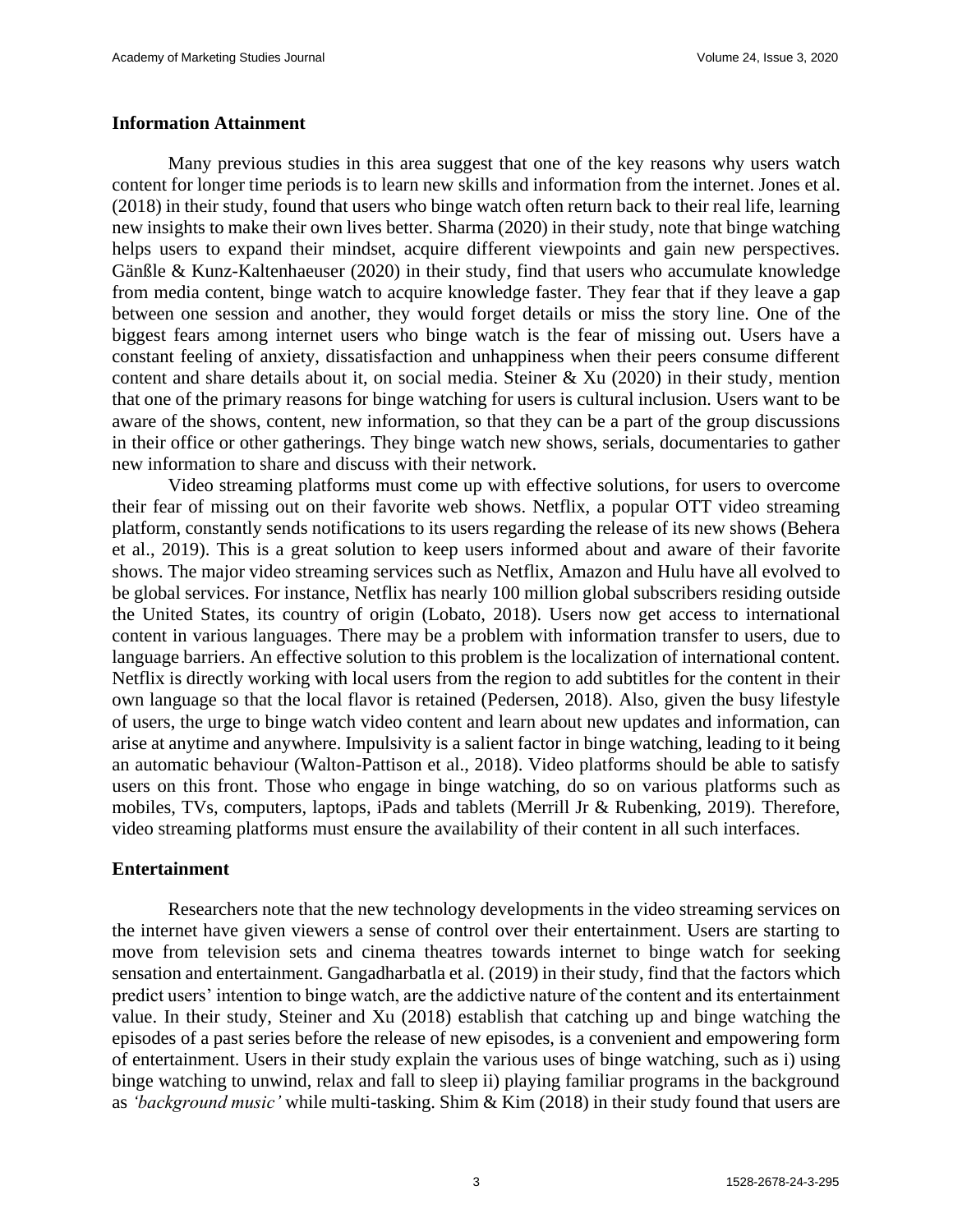#### **Information Attainment**

Many previous studies in this area suggest that one of the key reasons why users watch content for longer time periods is to learn new skills and information from the internet. Jones et al. (2018) in their study, found that users who binge watch often return back to their real life, learning new insights to make their own lives better. Sharma (2020) in their study, note that binge watching helps users to expand their mindset, acquire different viewpoints and gain new perspectives. Gänßle & Kunz-Kaltenhaeuser (2020) in their study, find that users who accumulate knowledge from media content, binge watch to acquire knowledge faster. They fear that if they leave a gap between one session and another, they would forget details or miss the story line. One of the biggest fears among internet users who binge watch is the fear of missing out. Users have a constant feeling of anxiety, dissatisfaction and unhappiness when their peers consume different content and share details about it, on social media. Steiner  $\&$  Xu (2020) in their study, mention that one of the primary reasons for binge watching for users is cultural inclusion. Users want to be aware of the shows, content, new information, so that they can be a part of the group discussions in their office or other gatherings. They binge watch new shows, serials, documentaries to gather new information to share and discuss with their network.

Video streaming platforms must come up with effective solutions, for users to overcome their fear of missing out on their favorite web shows. Netflix, a popular OTT video streaming platform, constantly sends notifications to its users regarding the release of its new shows (Behera et al., 2019). This is a great solution to keep users informed about and aware of their favorite shows. The major video streaming services such as Netflix, Amazon and Hulu have all evolved to be global services. For instance, Netflix has nearly 100 million global subscribers residing outside the United States, its country of origin (Lobato, 2018). Users now get access to international content in various languages. There may be a problem with information transfer to users, due to language barriers. An effective solution to this problem is the localization of international content. Netflix is directly working with local users from the region to add subtitles for the content in their own language so that the local flavor is retained (Pedersen, 2018). Also, given the busy lifestyle of users, the urge to binge watch video content and learn about new updates and information, can arise at anytime and anywhere. Impulsivity is a salient factor in binge watching, leading to it being an automatic behaviour (Walton-Pattison et al., 2018). Video platforms should be able to satisfy users on this front. Those who engage in binge watching, do so on various platforms such as mobiles, TVs, computers, laptops, iPads and tablets (Merrill Jr & Rubenking, 2019). Therefore, video streaming platforms must ensure the availability of their content in all such interfaces.

#### **Entertainment**

Researchers note that the new technology developments in the video streaming services on the internet have given viewers a sense of control over their entertainment. Users are starting to move from television sets and cinema theatres towards internet to binge watch for seeking sensation and entertainment. Gangadharbatla et al. (2019) in their study, find that the factors which predict users' intention to binge watch, are the addictive nature of the content and its entertainment value. In their study, Steiner and Xu (2018) establish that catching up and binge watching the episodes of a past series before the release of new episodes, is a convenient and empowering form of entertainment. Users in their study explain the various uses of binge watching, such as i) using binge watching to unwind, relax and fall to sleep ii) playing familiar programs in the background as *'background music'* while multi-tasking. Shim & Kim (2018) in their study found that users are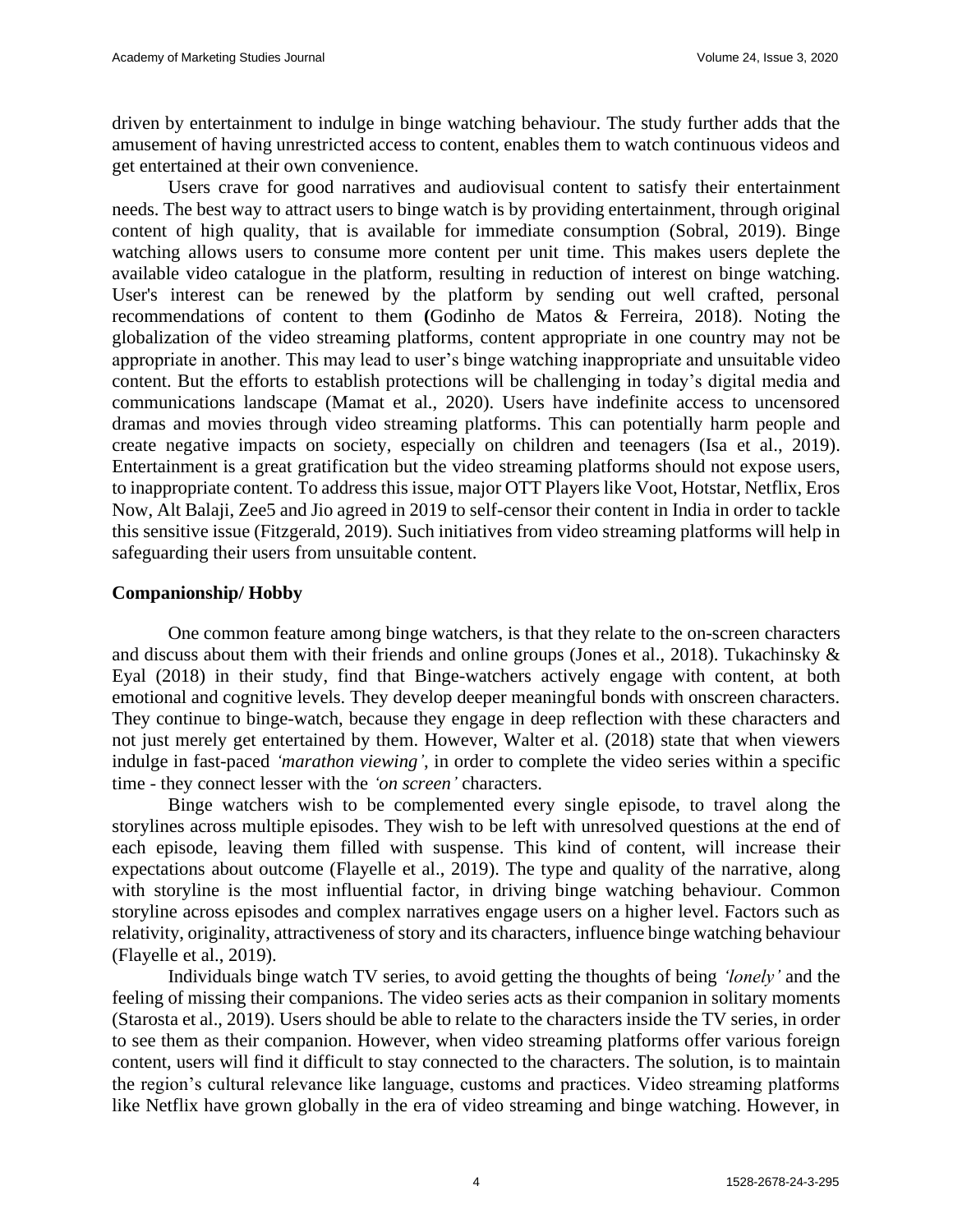driven by entertainment to indulge in binge watching behaviour. The study further adds that the amusement of having unrestricted access to content, enables them to watch continuous videos and get entertained at their own convenience.

Users crave for good narratives and audiovisual content to satisfy their entertainment needs. The best way to attract users to binge watch is by providing entertainment, through original content of high quality, that is available for immediate consumption (Sobral, 2019). Binge watching allows users to consume more content per unit time. This makes users deplete the available video catalogue in the platform, resulting in reduction of interest on binge watching. User's interest can be renewed by the platform by sending out well crafted, personal recommendations of content to them **(**Godinho de Matos & Ferreira, 2018). Noting the globalization of the video streaming platforms, content appropriate in one country may not be appropriate in another. This may lead to user's binge watching inappropriate and unsuitable video content. But the efforts to establish protections will be challenging in today's digital media and communications landscape (Mamat et al., 2020). Users have indefinite access to uncensored dramas and movies through video streaming platforms. This can potentially harm people and create negative impacts on society, especially on children and teenagers (Isa et al., 2019). Entertainment is a great gratification but the video streaming platforms should not expose users, to inappropriate content. To address this issue, major OTT Players like Voot, Hotstar, Netflix, Eros Now, Alt Balaji, Zee5 and Jio agreed in 2019 to self-censor their content in India in order to tackle this sensitive issue (Fitzgerald, 2019). Such initiatives from video streaming platforms will help in safeguarding their users from unsuitable content.

## **Companionship/ Hobby**

One common feature among binge watchers, is that they relate to the on-screen characters and discuss about them with their friends and online groups (Jones et al., 2018). Tukachinsky & Eyal (2018) in their study, find that Binge-watchers actively engage with content, at both emotional and cognitive levels. They develop deeper meaningful bonds with onscreen characters. They continue to binge-watch, because they engage in deep reflection with these characters and not just merely get entertained by them. However, Walter et al. (2018) state that when viewers indulge in fast-paced *'marathon viewing'*, in order to complete the video series within a specific time - they connect lesser with the *'on screen'* characters.

Binge watchers wish to be complemented every single episode, to travel along the storylines across multiple episodes. They wish to be left with unresolved questions at the end of each episode, leaving them filled with suspense. This kind of content, will increase their expectations about outcome (Flayelle et al., 2019). The type and quality of the narrative, along with storyline is the most influential factor, in driving binge watching behaviour. Common storyline across episodes and complex narratives engage users on a higher level. Factors such as relativity, originality, attractiveness of story and its characters, influence binge watching behaviour (Flayelle et al., 2019).

Individuals binge watch TV series, to avoid getting the thoughts of being *'lonely'* and the feeling of missing their companions. The video series acts as their companion in solitary moments (Starosta et al., 2019). Users should be able to relate to the characters inside the TV series, in order to see them as their companion. However, when video streaming platforms offer various foreign content, users will find it difficult to stay connected to the characters. The solution, is to maintain the region's cultural relevance like language, customs and practices. Video streaming platforms like Netflix have grown globally in the era of video streaming and binge watching. However, in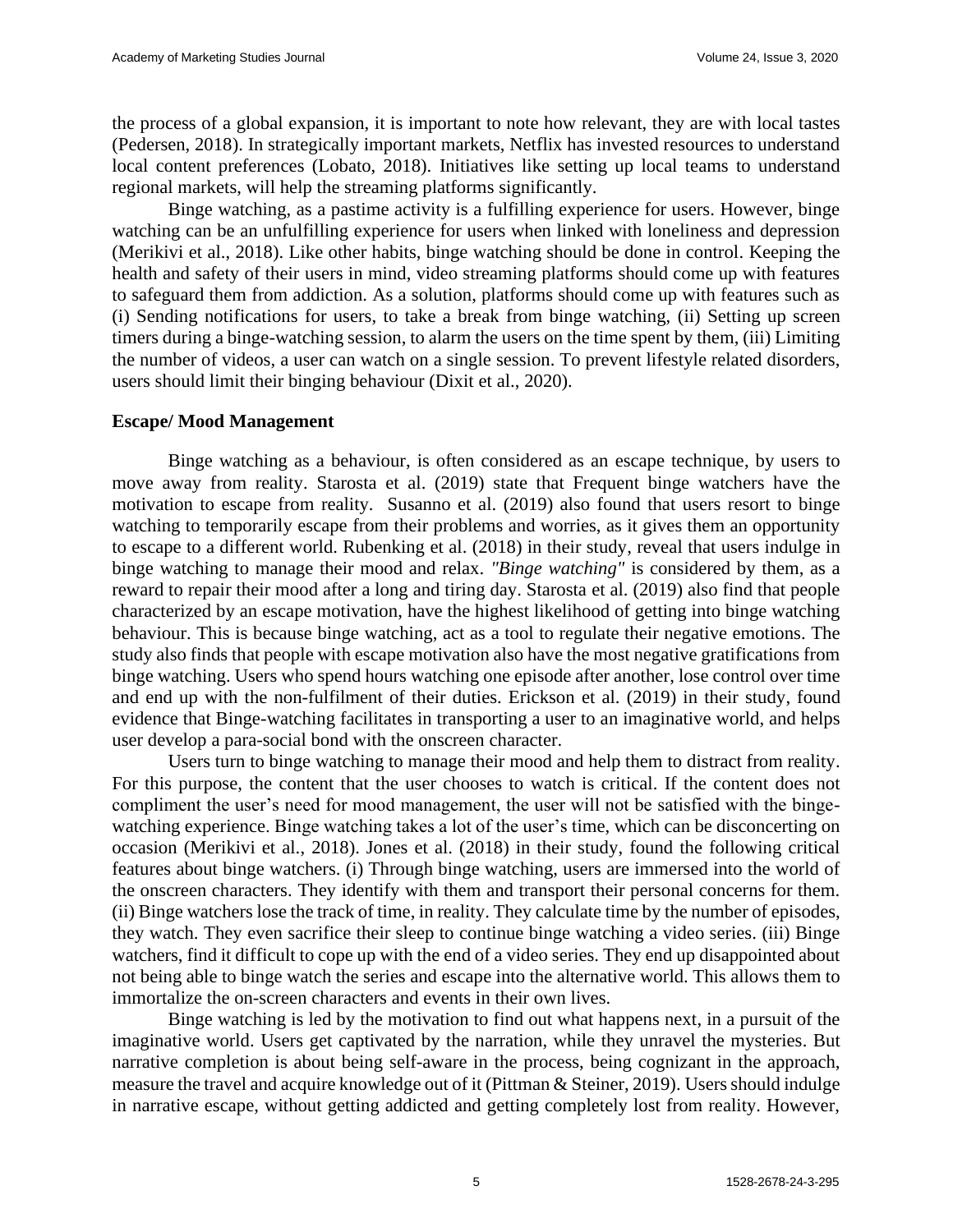the process of a global expansion, it is important to note how relevant, they are with local tastes (Pedersen, 2018). In strategically important markets, Netflix has invested resources to understand local content preferences (Lobato, 2018). Initiatives like setting up local teams to understand regional markets, will help the streaming platforms significantly.

Binge watching, as a pastime activity is a fulfilling experience for users. However, binge watching can be an unfulfilling experience for users when linked with loneliness and depression (Merikivi et al., 2018). Like other habits, binge watching should be done in control. Keeping the health and safety of their users in mind, video streaming platforms should come up with features to safeguard them from addiction. As a solution, platforms should come up with features such as (i) Sending notifications for users, to take a break from binge watching, (ii) Setting up screen timers during a binge-watching session, to alarm the users on the time spent by them, (iii) Limiting the number of videos, a user can watch on a single session. To prevent lifestyle related disorders, users should limit their binging behaviour (Dixit et al., 2020).

#### **Escape/ Mood Management**

Binge watching as a behaviour, is often considered as an escape technique, by users to move away from reality. Starosta et al. (2019) state that Frequent binge watchers have the motivation to escape from reality. Susanno et al. (2019) also found that users resort to binge watching to temporarily escape from their problems and worries, as it gives them an opportunity to escape to a different world. Rubenking et al. (2018) in their study, reveal that users indulge in binge watching to manage their mood and relax. *"Binge watching"* is considered by them, as a reward to repair their mood after a long and tiring day. Starosta et al. (2019) also find that people characterized by an escape motivation, have the highest likelihood of getting into binge watching behaviour. This is because binge watching, act as a tool to regulate their negative emotions. The study also finds that people with escape motivation also have the most negative gratifications from binge watching. Users who spend hours watching one episode after another, lose control over time and end up with the non-fulfilment of their duties. Erickson et al. (2019) in their study, found evidence that Binge-watching facilitates in transporting a user to an imaginative world, and helps user develop a para-social bond with the onscreen character.

Users turn to binge watching to manage their mood and help them to distract from reality. For this purpose, the content that the user chooses to watch is critical. If the content does not compliment the user's need for mood management, the user will not be satisfied with the bingewatching experience. Binge watching takes a lot of the user's time, which can be disconcerting on occasion (Merikivi et al., 2018). Jones et al. (2018) in their study, found the following critical features about binge watchers. (i) Through binge watching, users are immersed into the world of the onscreen characters. They identify with them and transport their personal concerns for them. (ii) Binge watchers lose the track of time, in reality. They calculate time by the number of episodes, they watch. They even sacrifice their sleep to continue binge watching a video series. (iii) Binge watchers, find it difficult to cope up with the end of a video series. They end up disappointed about not being able to binge watch the series and escape into the alternative world. This allows them to immortalize the on-screen characters and events in their own lives.

Binge watching is led by the motivation to find out what happens next, in a pursuit of the imaginative world. Users get captivated by the narration, while they unravel the mysteries. But narrative completion is about being self-aware in the process, being cognizant in the approach, measure the travel and acquire knowledge out of it (Pittman & Steiner, 2019). Users should indulge in narrative escape, without getting addicted and getting completely lost from reality. However,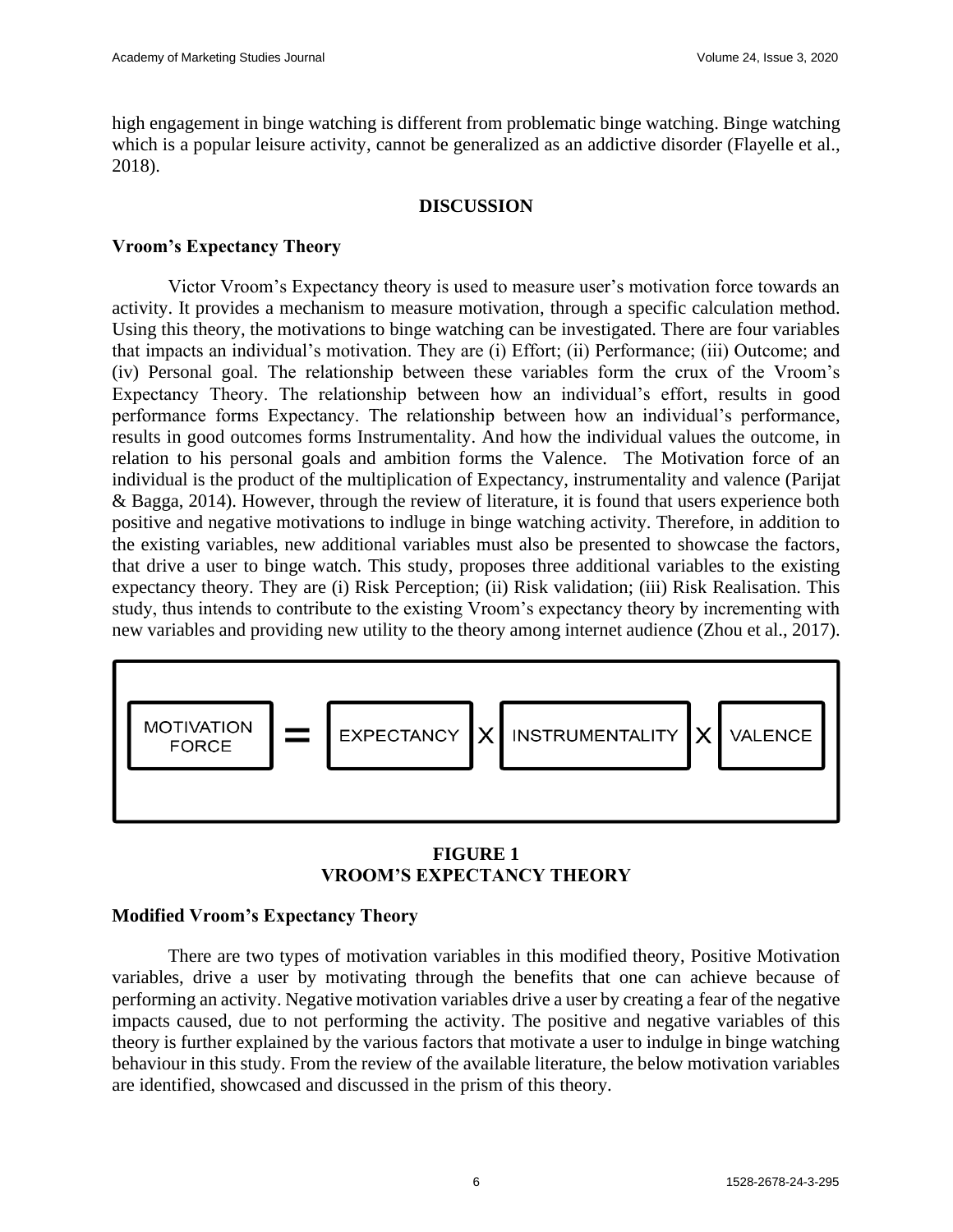high engagement in binge watching is different from problematic binge watching. Binge watching which is a popular leisure activity, cannot be generalized as an addictive disorder (Flayelle et al., 2018).

#### **DISCUSSION**

## **Vroom's Expectancy Theory**

Victor Vroom's Expectancy theory is used to measure user's motivation force towards an activity. It provides a mechanism to measure motivation, through a specific calculation method. Using this theory, the motivations to binge watching can be investigated. There are four variables that impacts an individual's motivation. They are (i) Effort; (ii) Performance; (iii) Outcome; and (iv) Personal goal. The relationship between these variables form the crux of the Vroom's Expectancy Theory. The relationship between how an individual's effort, results in good performance forms Expectancy. The relationship between how an individual's performance, results in good outcomes forms Instrumentality. And how the individual values the outcome, in relation to his personal goals and ambition forms the Valence. The Motivation force of an individual is the product of the multiplication of Expectancy, instrumentality and valence (Parijat & Bagga, 2014). However, through the review of literature, it is found that users experience both positive and negative motivations to indluge in binge watching activity. Therefore, in addition to the existing variables, new additional variables must also be presented to showcase the factors, that drive a user to binge watch. This study, proposes three additional variables to the existing expectancy theory. They are (i) Risk Perception; (ii) Risk validation; (iii) Risk Realisation. This study, thus intends to contribute to the existing Vroom's expectancy theory by incrementing with new variables and providing new utility to the theory among internet audience (Zhou et al., 2017).



## **FIGURE 1 VROOM'S EXPECTANCY THEORY**

## **Modified Vroom's Expectancy Theory**

There are two types of motivation variables in this modified theory, Positive Motivation variables, drive a user by motivating through the benefits that one can achieve because of performing an activity. Negative motivation variables drive a user by creating a fear of the negative impacts caused, due to not performing the activity. The positive and negative variables of this theory is further explained by the various factors that motivate a user to indulge in binge watching behaviour in this study. From the review of the available literature, the below motivation variables are identified, showcased and discussed in the prism of this theory.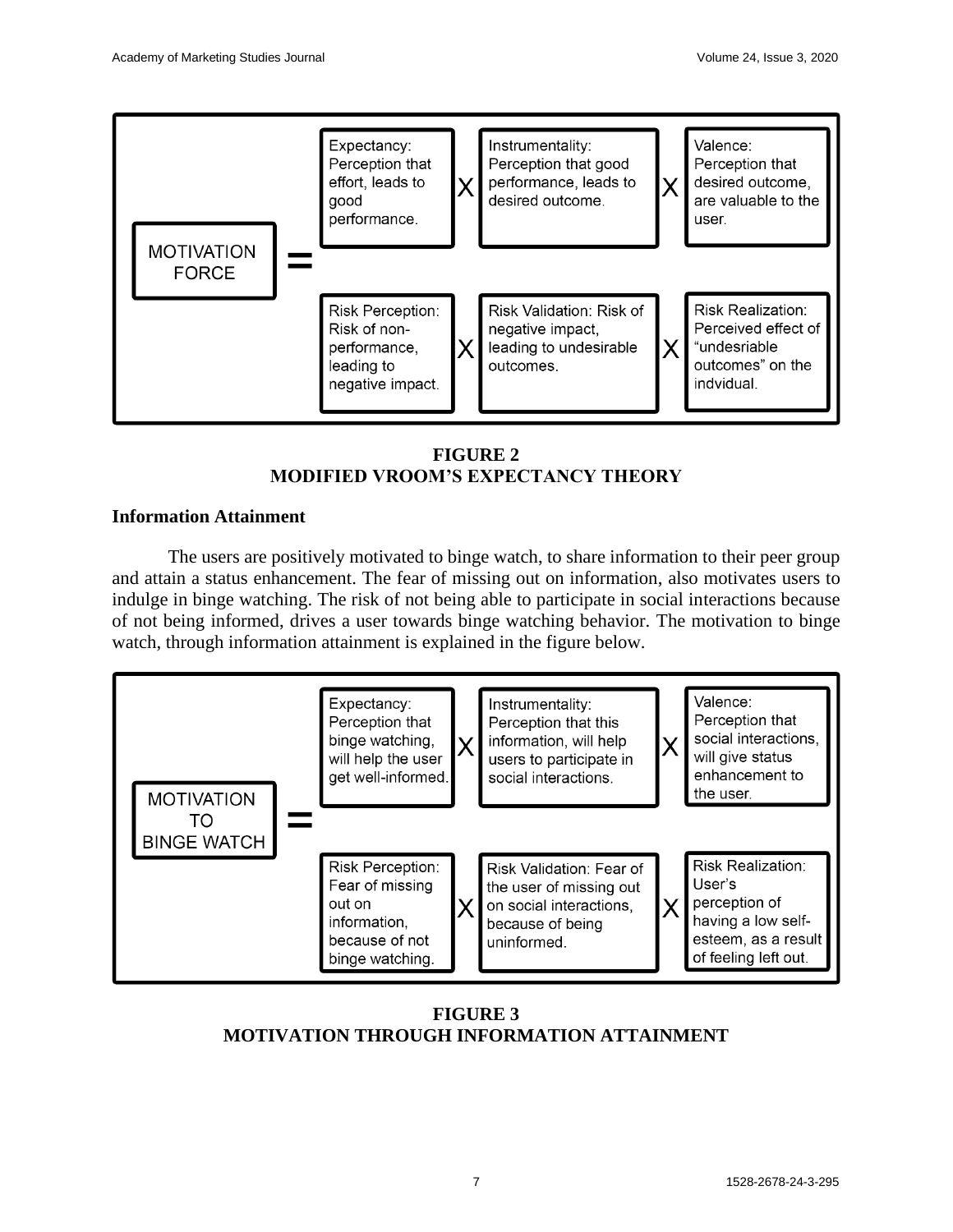

**FIGURE 2 MODIFIED VROOM'S EXPECTANCY THEORY**

# **Information Attainment**

The users are positively motivated to binge watch, to share information to their peer group and attain a status enhancement. The fear of missing out on information, also motivates users to indulge in binge watching. The risk of not being able to participate in social interactions because of not being informed, drives a user towards binge watching behavior. The motivation to binge watch, through information attainment is explained in the figure below.



**FIGURE 3 MOTIVATION THROUGH INFORMATION ATTAINMENT**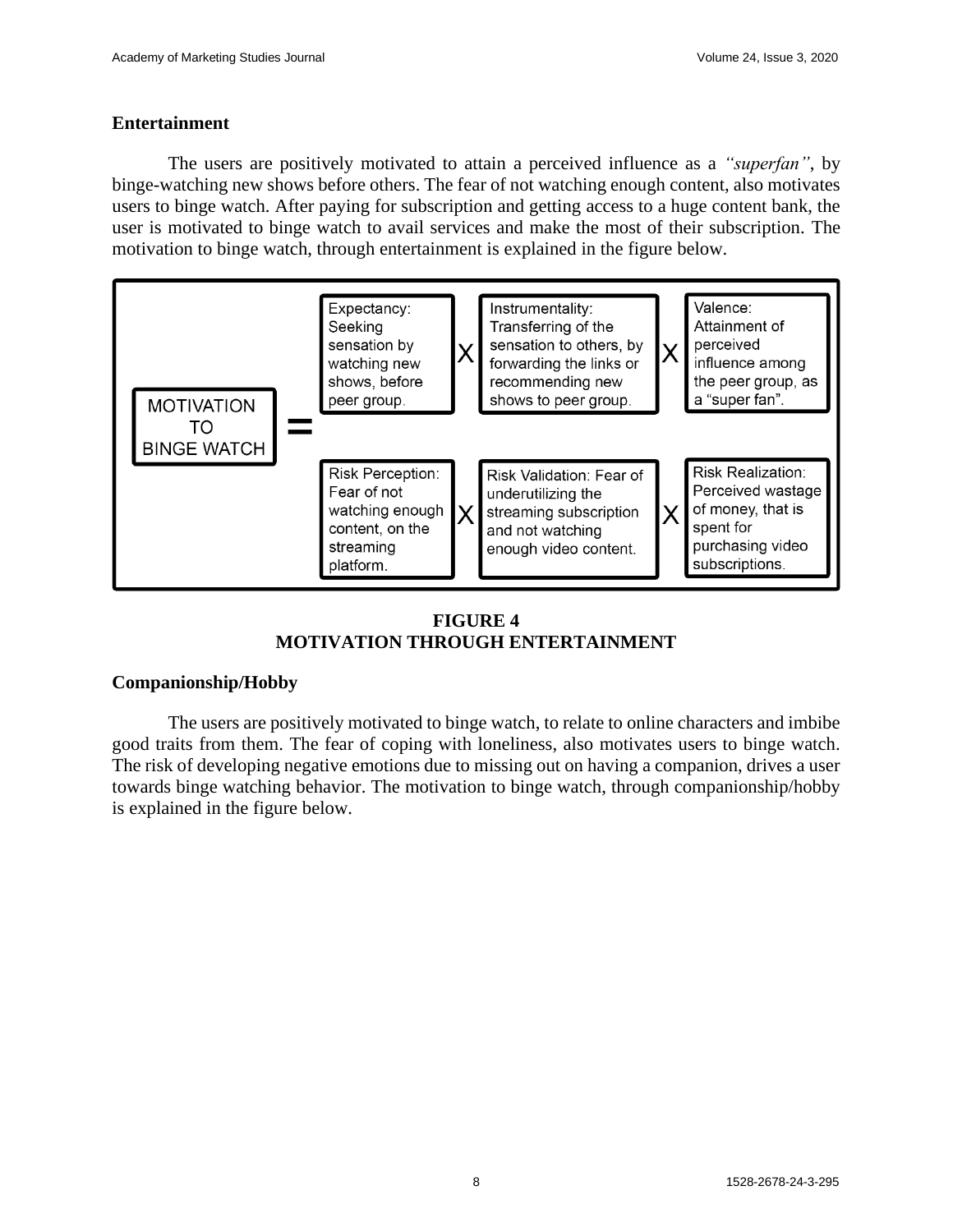## **Entertainment**

The users are positively motivated to attain a perceived influence as a *"superfan"*, by binge-watching new shows before others. The fear of not watching enough content, also motivates users to binge watch. After paying for subscription and getting access to a huge content bank, the user is motivated to binge watch to avail services and make the most of their subscription. The motivation to binge watch, through entertainment is explained in the figure below.



# **FIGURE 4 MOTIVATION THROUGH ENTERTAINMENT**

## **Companionship/Hobby**

The users are positively motivated to binge watch, to relate to online characters and imbibe good traits from them. The fear of coping with loneliness, also motivates users to binge watch. The risk of developing negative emotions due to missing out on having a companion, drives a user towards binge watching behavior. The motivation to binge watch, through companionship/hobby is explained in the figure below.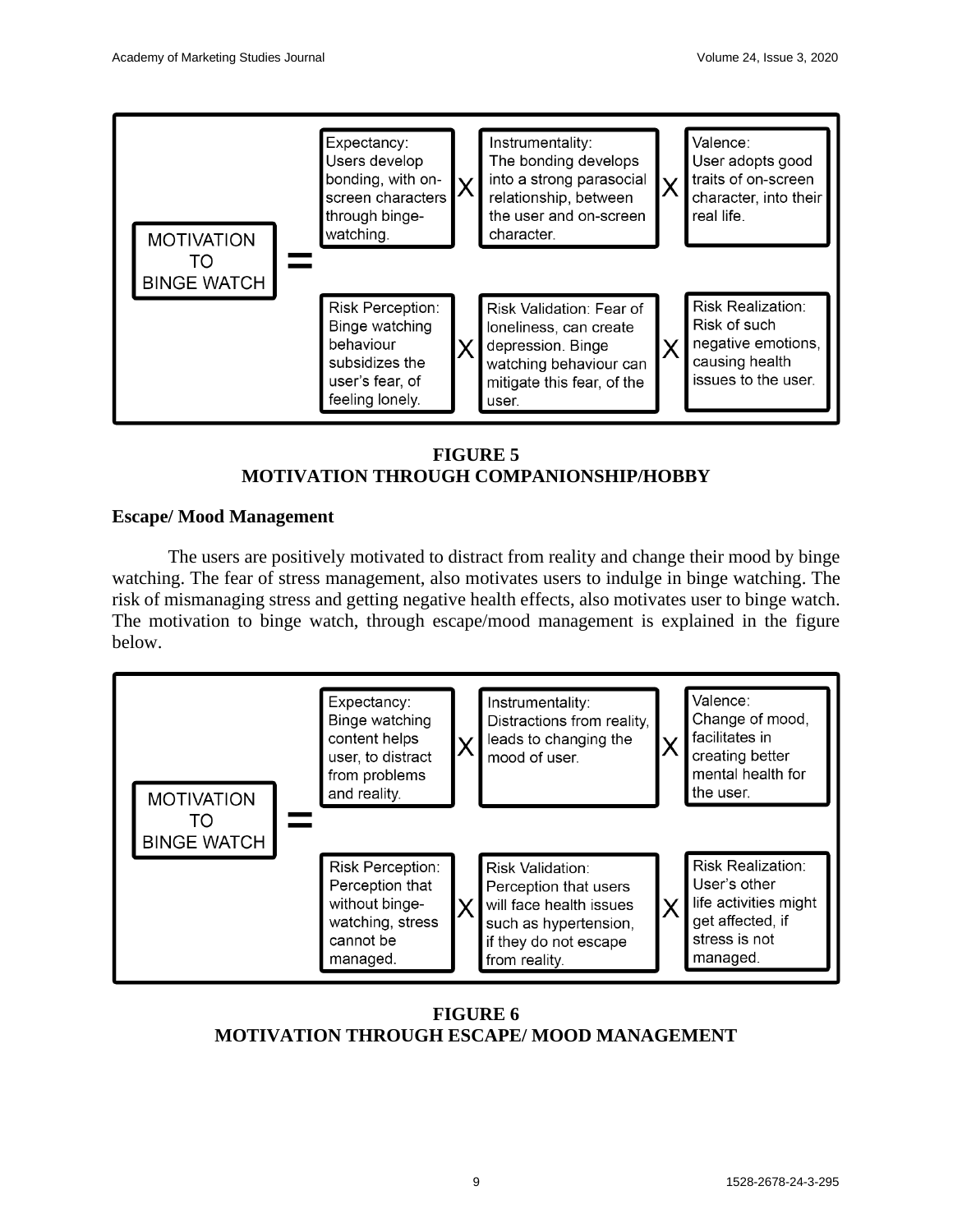

**FIGURE 5 MOTIVATION THROUGH COMPANIONSHIP/HOBBY**

# **Escape/ Mood Management**

The users are positively motivated to distract from reality and change their mood by binge watching. The fear of stress management, also motivates users to indulge in binge watching. The risk of mismanaging stress and getting negative health effects, also motivates user to binge watch. The motivation to binge watch, through escape/mood management is explained in the figure below.



**FIGURE 6 MOTIVATION THROUGH ESCAPE/ MOOD MANAGEMENT**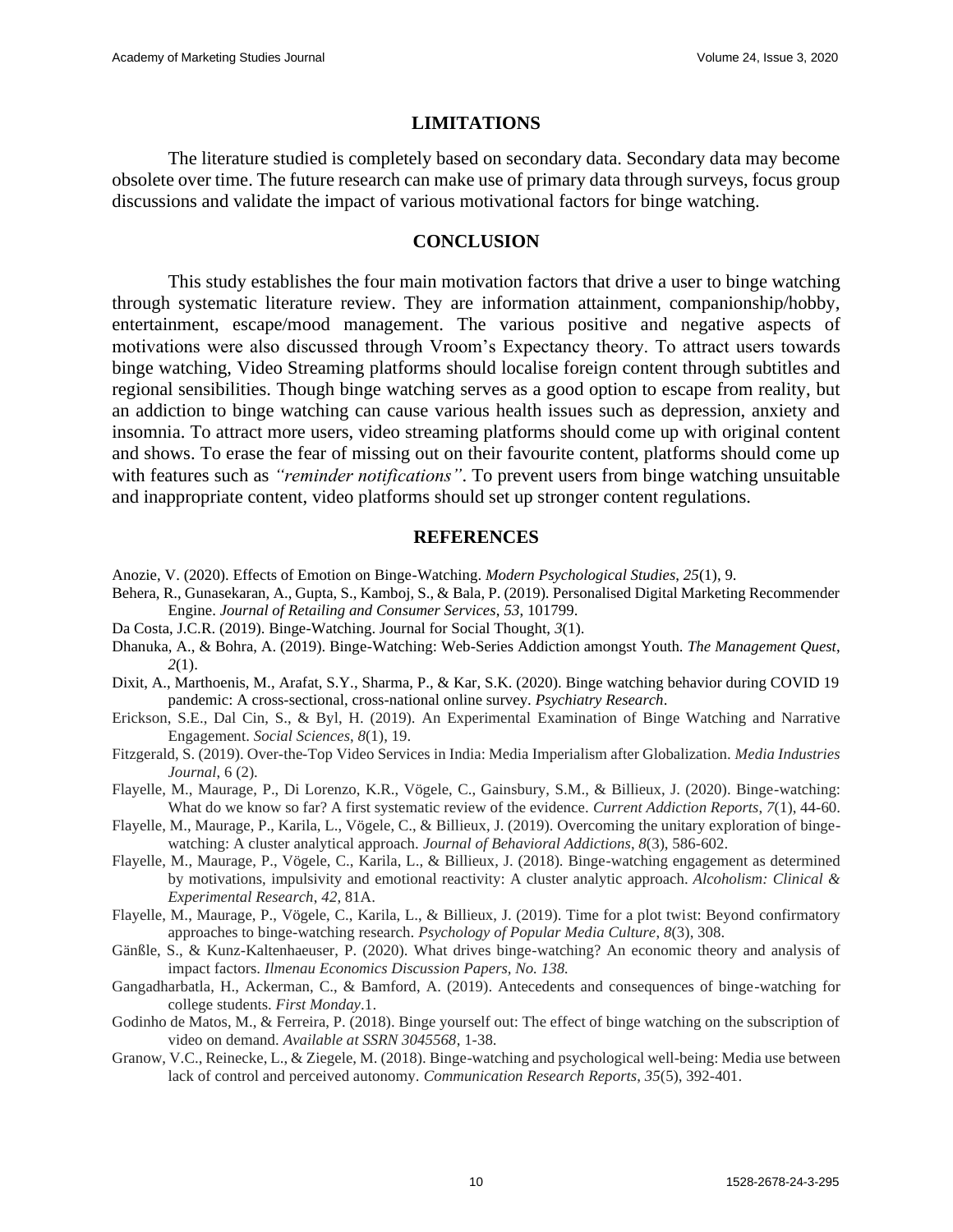#### **LIMITATIONS**

The literature studied is completely based on secondary data. Secondary data may become obsolete over time. The future research can make use of primary data through surveys, focus group discussions and validate the impact of various motivational factors for binge watching.

#### **CONCLUSION**

This study establishes the four main motivation factors that drive a user to binge watching through systematic literature review. They are information attainment, companionship/hobby, entertainment, escape/mood management. The various positive and negative aspects of motivations were also discussed through Vroom's Expectancy theory. To attract users towards binge watching, Video Streaming platforms should localise foreign content through subtitles and regional sensibilities. Though binge watching serves as a good option to escape from reality, but an addiction to binge watching can cause various health issues such as depression, anxiety and insomnia. To attract more users, video streaming platforms should come up with original content and shows. To erase the fear of missing out on their favourite content, platforms should come up with features such as *"reminder notifications"*. To prevent users from binge watching unsuitable and inappropriate content, video platforms should set up stronger content regulations.

#### **REFERENCES**

- Anozie, V. (2020). Effects of Emotion on Binge-Watching. *Modern Psychological Studies*, *25*(1), 9.
- Behera, R., Gunasekaran, A., Gupta, S., Kamboj, S., & Bala, P. (2019). Personalised Digital Marketing Recommender Engine. *Journal of Retailing and Consumer Services*, *53*, 101799.
- Da Costa, J.C.R. (2019). Binge-Watching. Journal for Social Thought, *3*(1).
- Dhanuka, A., & Bohra, A. (2019). Binge-Watching: Web-Series Addiction amongst Youth. *The Management Quest*, *2*(1).
- Dixit, A., Marthoenis, M., Arafat, S.Y., Sharma, P., & Kar, S.K. (2020). Binge watching behavior during COVID 19 pandemic: A cross-sectional, cross-national online survey. *Psychiatry Research*.
- Erickson, S.E., Dal Cin, S., & Byl, H. (2019). An Experimental Examination of Binge Watching and Narrative Engagement. *Social Sciences*, *8*(1), 19.
- Fitzgerald, S. (2019). Over-the-Top Video Services in India: Media Imperialism after Globalization. *Media Industries Journal*, 6 (2).
- Flayelle, M., Maurage, P., Di Lorenzo, K.R., Vögele, C., Gainsbury, S.M., & Billieux, J. (2020). Binge-watching: What do we know so far? A first systematic review of the evidence. *Current Addiction Reports*, *7*(1), 44-60.
- Flayelle, M., Maurage, P., Karila, L., Vögele, C., & Billieux, J. (2019). Overcoming the unitary exploration of bingewatching: A cluster analytical approach. *Journal of Behavioral Addictions*, *8*(3), 586-602.
- Flayelle, M., Maurage, P., Vögele, C., Karila, L., & Billieux, J. (2018). Binge-watching engagement as determined by motivations, impulsivity and emotional reactivity: A cluster analytic approach. *Alcoholism: Clinical & Experimental Research*, *42*, 81A.
- Flayelle, M., Maurage, P., Vögele, C., Karila, L., & Billieux, J. (2019). Time for a plot twist: Beyond confirmatory approaches to binge-watching research. *Psychology of Popular Media Culture*, *8*(3), 308.
- Gänßle, S., & Kunz-Kaltenhaeuser, P. (2020). What drives binge-watching? An economic theory and analysis of impact factors. *Ilmenau Economics Discussion Papers, No. 138.*
- Gangadharbatla, H., Ackerman, C., & Bamford, A. (2019). Antecedents and consequences of binge-watching for college students. *First Monday*.1.
- Godinho de Matos, M., & Ferreira, P. (2018). Binge yourself out: The effect of binge watching on the subscription of video on demand. *Available at SSRN 3045568*, 1-38.
- Granow, V.C., Reinecke, L., & Ziegele, M. (2018). Binge-watching and psychological well-being: Media use between lack of control and perceived autonomy. *Communication Research Reports*, *35*(5), 392-401.